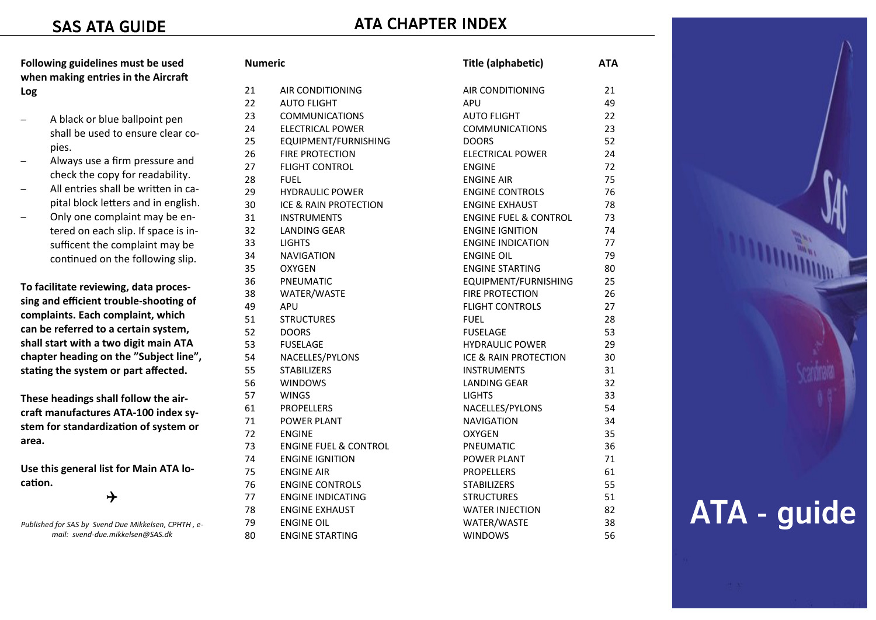# **ATA CHAPTER INDEX**

**Following guidelines must be used**  when making entries in the Aircraft **Log** 

- <sup>−</sup>A black or blue ballpoint pen shall be used to ensure clear copies.
- <sup>−</sup>Always use a firm pressure and check the copy for readability.
- − All entries shall be wriƩen in capital block letters and in english.
- − Only one complaint may be entered on each slip. If space is insufficent the complaint may be continued on the following slip.

**To facilitate reviewing, data processing and efficient trouble-shooƟng of complaints. Each complaint, which can be referred to a certain system, shall start with a two digit main ATA chapter heading on the "Subject line",**  stating the system or part affected.

**These headings shall follow the air**craft manufactures ATA-100 index sy**stem for standardizaƟon of system or area.** 

**Use this general list for Main ATA locaƟon.** 

## $\rightarrow$

*Published for SAS by Svend Due Mikkelsen, CPHTH , email: svend-due.mikkelsen@SAS.dk* 

| Numeric |                                  | Title (alphabetic)               | ATA |
|---------|----------------------------------|----------------------------------|-----|
| 21      | AIR CONDITIONING                 | AIR CONDITIONING                 | 21  |
| 22      | <b>AUTO FLIGHT</b>               | <b>APU</b>                       | 49  |
| 23      | <b>COMMUNICATIONS</b>            | <b>AUTO FLIGHT</b>               | 22  |
| 24      | <b>ELECTRICAL POWER</b>          | <b>COMMUNICATIONS</b>            | 23  |
| 25      | EQUIPMENT/FURNISHING             | <b>DOORS</b>                     | 52  |
| 26      | <b>FIRE PROTECTION</b>           | <b>ELECTRICAL POWER</b>          | 24  |
| 27      | <b>FLIGHT CONTROL</b>            | <b>ENGINE</b>                    | 72  |
| 28      | <b>FUEL</b>                      | <b>ENGINE AIR</b>                | 75  |
| 29      | <b>HYDRAULIC POWER</b>           | <b>ENGINE CONTROLS</b>           | 76  |
| 30      | ICE & RAIN PROTECTION            | <b>ENGINE EXHAUST</b>            | 78  |
| 31      | <b>INSTRUMENTS</b>               | <b>ENGINE FUEL &amp; CONTROL</b> | 73  |
| 32      | <b>LANDING GEAR</b>              | <b>ENGINE IGNITION</b>           | 74  |
| 33      | <b>LIGHTS</b>                    | <b>ENGINE INDICATION</b>         | 77  |
| 34      | <b>NAVIGATION</b>                | <b>ENGINE OIL</b>                | 79  |
| 35      | <b>OXYGEN</b>                    | <b>ENGINE STARTING</b>           | 80  |
| 36      | PNEUMATIC                        | EQUIPMENT/FURNISHING             | 25  |
| 38      | WATER/WASTE                      | <b>FIRE PROTECTION</b>           | 26  |
| 49      | APU                              | <b>FLIGHT CONTROLS</b>           | 27  |
| 51      | <b>STRUCTURES</b>                | <b>FUEL</b>                      | 28  |
| 52      | <b>DOORS</b>                     | <b>FUSELAGE</b>                  | 53  |
| 53      | <b>FUSELAGE</b>                  | <b>HYDRAULIC POWER</b>           | 29  |
| 54      | NACELLES/PYLONS                  | ICE & RAIN PROTECTION            | 30  |
| 55      | <b>STABILIZERS</b>               | <b>INSTRUMENTS</b>               | 31  |
| 56      | <b>WINDOWS</b>                   | <b>LANDING GEAR</b>              | 32  |
| 57      | <b>WINGS</b>                     | <b>LIGHTS</b>                    | 33  |
| 61      | <b>PROPELLERS</b>                | NACELLES/PYLONS                  | 54  |
| 71      | <b>POWER PLANT</b>               | <b>NAVIGATION</b>                | 34  |
| 72      | <b>ENGINE</b>                    | <b>OXYGEN</b>                    | 35  |
| 73      | <b>ENGINE FUEL &amp; CONTROL</b> | PNEUMATIC                        | 36  |
| 74      | <b>ENGINE IGNITION</b>           | POWER PLANT                      | 71  |
| 75      | <b>ENGINE AIR</b>                | <b>PROPELLERS</b>                | 61  |
| 76      | <b>ENGINE CONTROLS</b>           | <b>STABILIZERS</b>               | 55  |
| 77      | <b>ENGINE INDICATING</b>         | <b>STRUCTURES</b>                | 51  |
| 78      | <b>ENGINE EXHAUST</b>            | <b>WATER INJECTION</b>           | 82  |
| 79      | <b>ENGINE OIL</b>                | WATER/WASTE                      | 38  |
| 80      | <b>ENGINE STARTING</b>           | <b>WINDOWS</b>                   | 56  |